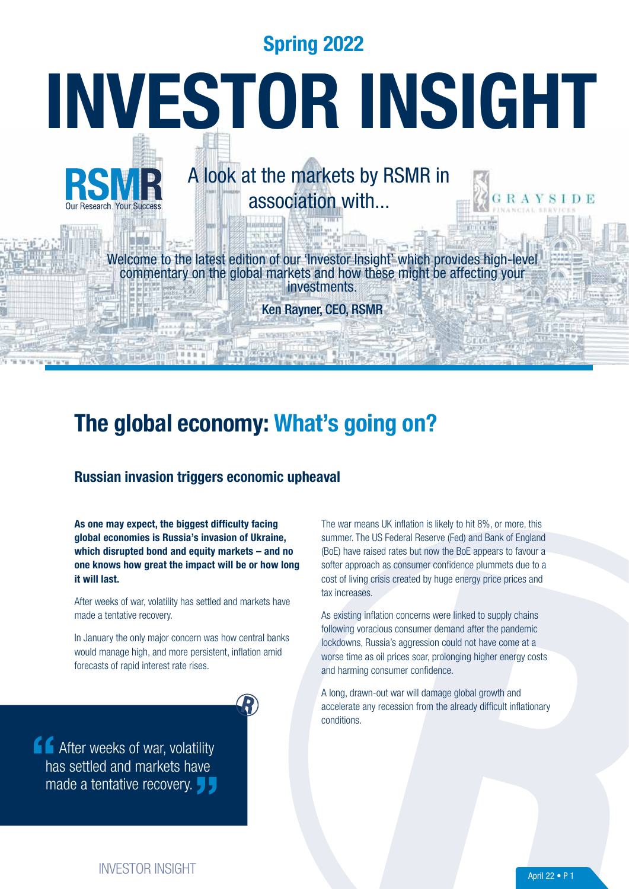Spring 2022

# INVESTOR INSIGHT

# A look at the markets by RSMR in association with...

Welcome to the latest edition of our 'Investor Insight' which provides high-leve commentary on the global markets and how these might be affecting your investments.

Ken Rayner, CEO, RSMR

# The global economy: What's going on?

### Russian invasion triggers economic upheaval

As one may expect, the biggest difficulty facing global economies is Russia's invasion of Ukraine, which disrupted bond and equity markets – and no one knows how great the impact will be or how long it will last.

After weeks of war, volatility has settled and markets have made a tentative recovery.

In January the only major concern was how central banks would manage high, and more persistent, inflation amid forecasts of rapid interest rate rises.

**After weeks of war, volatility** has settled and markets have made a tentative recovery. The war means UK inflation is likely to hit 8%, or more, this summer. The US Federal Reserve (Fed) and Bank of England (BoE) have raised rates but now the BoE appears to favour a softer approach as consumer confidence plummets due to a cost of living crisis created by huge energy price prices and tax increases.

As existing inflation concerns were linked to supply chains following voracious consumer demand after the pandemic lockdowns, Russia's aggression could not have come at a worse time as oil prices soar, prolonging higher energy costs and harming consumer confidence.

A long, drawn-out war will damage global growth and accelerate any recession from the already difficult inflationary conditions.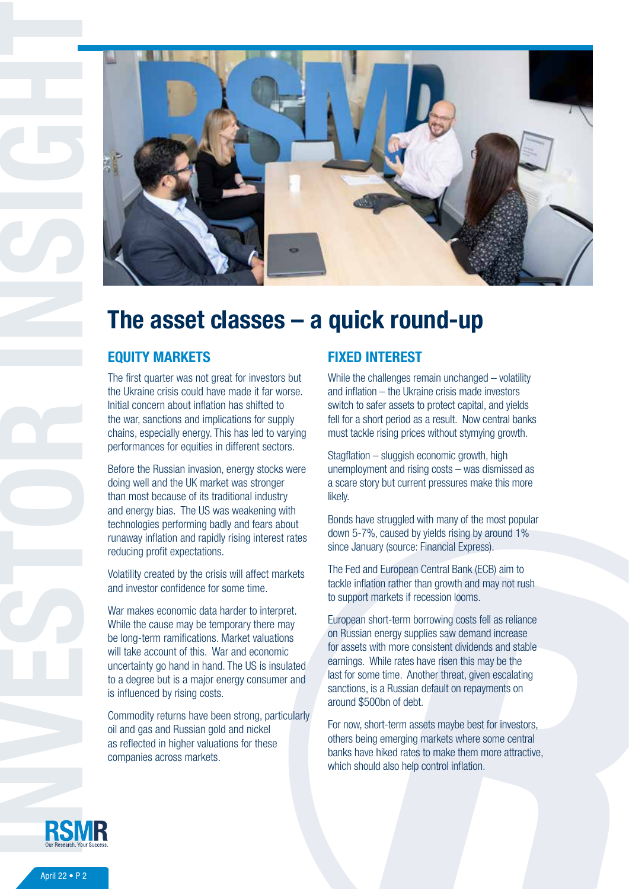

# The asset classes – a quick round-up

The first quarter was not great for investors but the Ukraine crisis could have made it far worse. Initial concern about inflation has shifted to the war, sanctions and implications for supply chains, especially energy. This has led to varying performances for equities in different sectors.

Before the Russian invasion, energy stocks were doing well and the UK market was stronger than most because of its traditional industry and energy bias. The US was weakening with technologies performing badly and fears about runaway inflation and rapidly rising interest rates reducing profit expectations.

Volatility created by the crisis will affect markets and investor confidence for some time.

War makes economic data harder to interpret. While the cause may be temporary there may be long-term ramifications. Market valuations will take account of this. War and economic uncertainty go hand in hand. The US is insulated to a degree but is a major energy consumer and is influenced by rising costs.

Commodity returns have been strong, particularly oil and gas and Russian gold and nickel as reflected in higher valuations for these companies across markets.

### FIXED INTEREST

While the challenges remain unchanged – volatility and inflation – the Ukraine crisis made investors switch to safer assets to protect capital, and yields fell for a short period as a result. Now central banks must tackle rising prices without stymying growth.

Stagflation – sluggish economic growth, high unemployment and rising costs – was dismissed as a scare story but current pressures make this more likely.

Bonds have struggled with many of the most popular down 5-7%, caused by yields rising by around 1% since January (source: Financial Express).

The Fed and European Central Bank (ECB) aim to tackle inflation rather than growth and may not rush to support markets if recession looms.

European short-term borrowing costs fell as reliance on Russian energy supplies saw demand increase for assets with more consistent dividends and stable earnings. While rates have risen this may be the last for some time. Another threat, given escalating sanctions, is a Russian default on repayments on around \$500bn of debt.

For now, short-term assets maybe best for investors, others being emerging markets where some central banks have hiked rates to make them more attractive, which should also help control inflation.

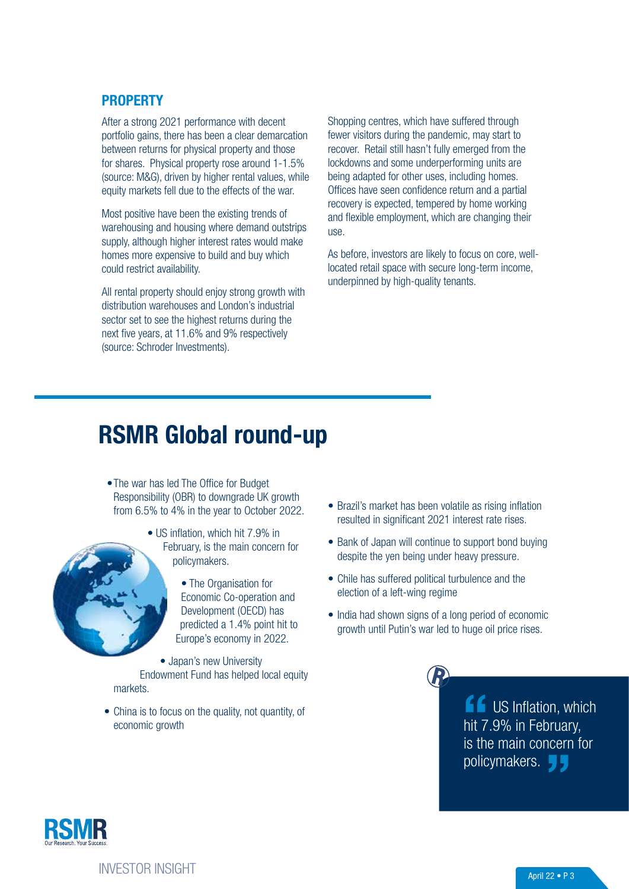### **PROPERTY**

After a strong 2021 performance with decent portfolio gains, there has been a clear demarcation between returns for physical property and those for shares. Physical property rose around 1-1.5% (source: M&G), driven by higher rental values, while equity markets fell due to the effects of the war.

Most positive have been the existing trends of warehousing and housing where demand outstrips supply, although higher interest rates would make homes more expensive to build and buy which could restrict availability.

All rental property should enjoy strong growth with distribution warehouses and London's industrial sector set to see the highest returns during the next five years, at 11.6% and 9% respectively (source: Schroder Investments).

Shopping centres, which have suffered through fewer visitors during the pandemic, may start to recover. Retail still hasn't fully emerged from the lockdowns and some underperforming units are being adapted for other uses, including homes. Offices have seen confidence return and a partial recovery is expected, tempered by home working and flexible employment, which are changing their use.

As before, investors are likely to focus on core, welllocated retail space with secure long-term income, underpinned by high-quality tenants.

# RSMR Global round-up

 •The war has led The Office for Budget Responsibility (OBR) to downgrade UK growth from 6.5% to 4% in the year to October 2022.



- US inflation, which hit 7.9% in February, is the main concern for policymakers.
	- The Organisation for Economic Co-operation and Development (OECD) has predicted a 1.4% point hit to Europe's economy in 2022.

• Japan's new University Endowment Fund has helped local equity markets.

• China is to focus on the quality, not quantity, of economic growth

- Brazil's market has been volatile as rising inflation resulted in significant 2021 interest rate rises.
- Bank of Japan will continue to support bond buying despite the yen being under heavy pressure.
- Chile has suffered political turbulence and the election of a left-wing regime
- India had shown signs of a long period of economic growth until Putin's war led to huge oil price rises.

**ff** US Inflation, which hit 7.9% in February, is the main concern for policymakers.